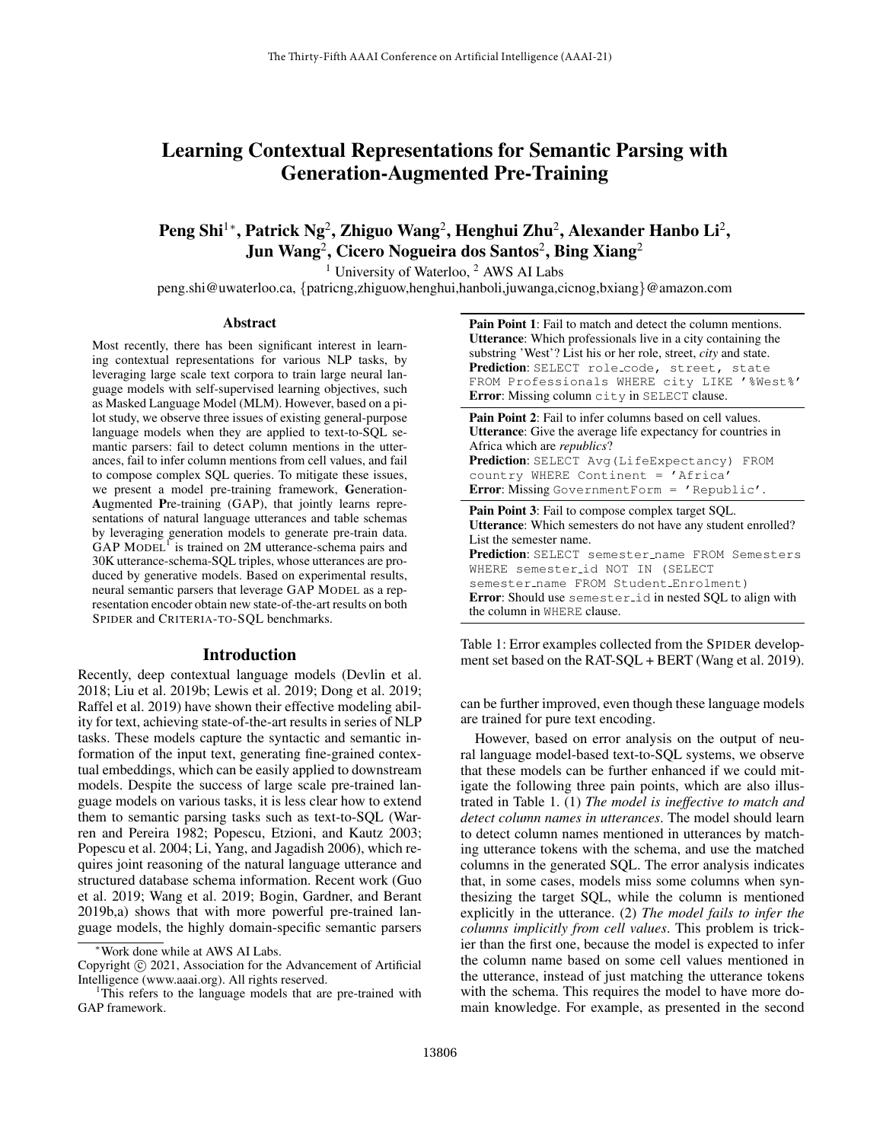# Learning Contextual Representations for Semantic Parsing with Generation-Augmented Pre-Training

# Peng Shi $^{1*}$ , Patrick Ng<sup>2</sup>, Zhiguo Wang<sup>2</sup>, Henghui Zhu<sup>2</sup>, Alexander Hanbo Li<sup>2</sup>, Jun Wang $^2$ , Cicero Nogueira dos Santos $^2$ , Bing Xiang $^2$

<sup>1</sup> University of Waterloo,  $2$  AWS AI Labs

peng.shi@uwaterloo.ca, {patricng,zhiguow,henghui,hanboli,juwanga,cicnog,bxiang}@amazon.com

#### Abstract

Most recently, there has been significant interest in learning contextual representations for various NLP tasks, by leveraging large scale text corpora to train large neural language models with self-supervised learning objectives, such as Masked Language Model (MLM). However, based on a pilot study, we observe three issues of existing general-purpose language models when they are applied to text-to-SQL semantic parsers: fail to detect column mentions in the utterances, fail to infer column mentions from cell values, and fail to compose complex SQL queries. To mitigate these issues, we present a model pre-training framework, Generation-Augmented Pre-training (GAP), that jointly learns representations of natural language utterances and table schemas by leveraging generation models to generate pre-train data. GAP MODEL<sup>1</sup> is trained on 2M utterance-schema pairs and 30K utterance-schema-SQL triples, whose utterances are produced by generative models. Based on experimental results, neural semantic parsers that leverage GAP MODEL as a representation encoder obtain new state-of-the-art results on both SPIDER and CRITERIA-TO-SQL benchmarks.

#### Introduction

Recently, deep contextual language models (Devlin et al. 2018; Liu et al. 2019b; Lewis et al. 2019; Dong et al. 2019; Raffel et al. 2019) have shown their effective modeling ability for text, achieving state-of-the-art results in series of NLP tasks. These models capture the syntactic and semantic information of the input text, generating fine-grained contextual embeddings, which can be easily applied to downstream models. Despite the success of large scale pre-trained language models on various tasks, it is less clear how to extend them to semantic parsing tasks such as text-to-SQL (Warren and Pereira 1982; Popescu, Etzioni, and Kautz 2003; Popescu et al. 2004; Li, Yang, and Jagadish 2006), which requires joint reasoning of the natural language utterance and structured database schema information. Recent work (Guo et al. 2019; Wang et al. 2019; Bogin, Gardner, and Berant 2019b,a) shows that with more powerful pre-trained language models, the highly domain-specific semantic parsers Pain Point 1: Fail to match and detect the column mentions. Utterance: Which professionals live in a city containing the substring 'West'? List his or her role, street, *city* and state. Prediction: SELECT role\_code, street, state FROM Professionals WHERE city LIKE '%West%' Error: Missing column city in SELECT clause.

Pain Point 2: Fail to infer columns based on cell values. Utterance: Give the average life expectancy for countries in Africa which are *republics*? Prediction: SELECT Avg (LifeExpectancy) FROM country WHERE Continent = 'Africa' Error: Missing GovernmentForm = 'Republic'. Pain Point 3: Fail to compose complex target SOL.

Utterance: Which semesters do not have any student enrolled? List the semester name. Prediction: SELECT semester\_name FROM Semesters WHERE semester id NOT IN (SELECT semester\_name FROM Student\_Enrolment) Error: Should use semester id in nested SQL to align with the column in WHERE clause.

Table 1: Error examples collected from the SPIDER development set based on the RAT-SQL + BERT (Wang et al. 2019).

can be further improved, even though these language models are trained for pure text encoding.

However, based on error analysis on the output of neural language model-based text-to-SQL systems, we observe that these models can be further enhanced if we could mitigate the following three pain points, which are also illustrated in Table 1. (1) *The model is ineffective to match and detect column names in utterances*. The model should learn to detect column names mentioned in utterances by matching utterance tokens with the schema, and use the matched columns in the generated SQL. The error analysis indicates that, in some cases, models miss some columns when synthesizing the target SQL, while the column is mentioned explicitly in the utterance. (2) *The model fails to infer the columns implicitly from cell values*. This problem is trickier than the first one, because the model is expected to infer the column name based on some cell values mentioned in the utterance, instead of just matching the utterance tokens with the schema. This requires the model to have more domain knowledge. For example, as presented in the second

Work done while at AWS AI Labs.

Copyright  $\odot$  2021, Association for the Advancement of Artificial Intelligence (www.aaai.org). All rights reserved.

<sup>&</sup>lt;sup>1</sup>This refers to the language models that are pre-trained with GAP framework.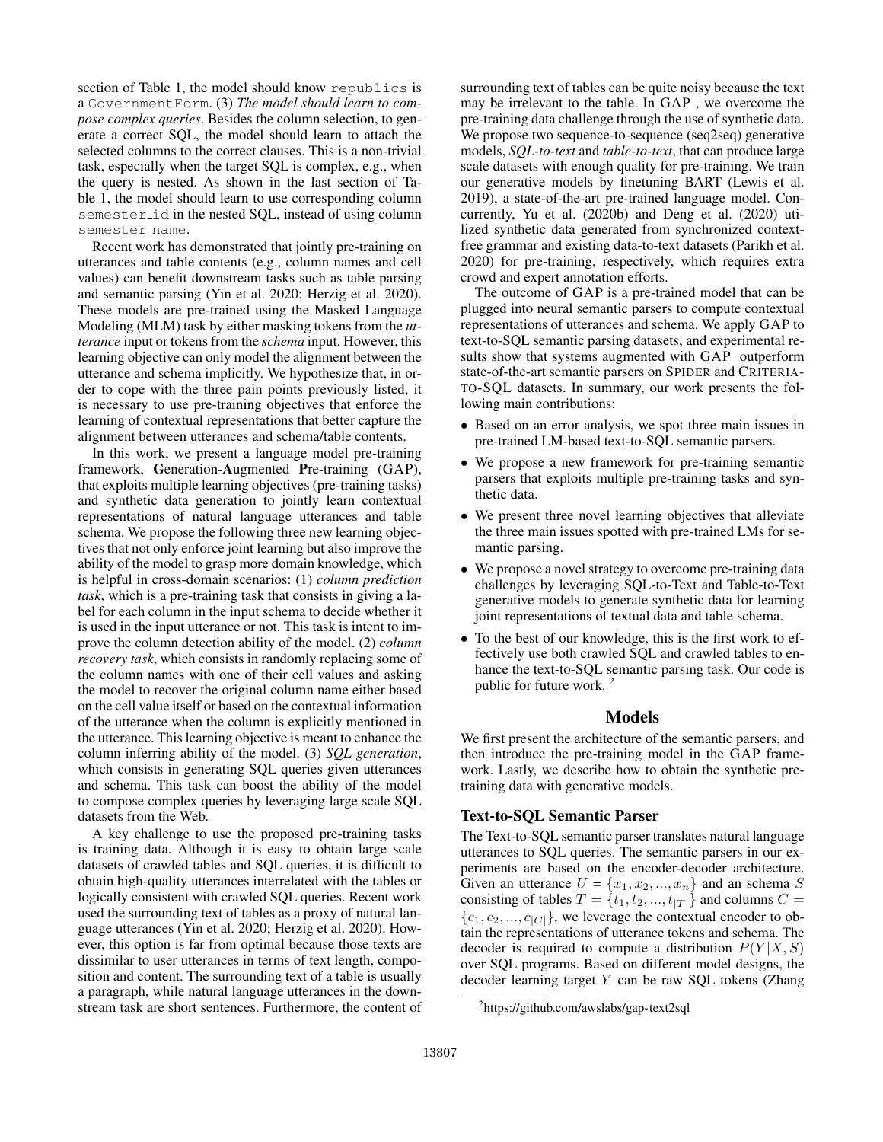section of Table 1, the model should know republics is a GovernmentForm. (3) *The model should learn to compose complex queries*. Besides the column selection, to generate a correct SQL, the model should learn to attach the selected columns to the correct clauses. This is a non-trivial task, especially when the target SQL is complex, e.g., when the query is nested. As shown in the last section of Table 1, the model should learn to use corresponding column semester id in the nested SQL, instead of using column semester\_name.

Recent work has demonstrated that jointly pre-training on utterances and table contents (e.g., column names and cell values) can benefit downstream tasks such as table parsing and semantic parsing (Yin et al. 2020; Herzig et al. 2020). These models are pre-trained using the Masked Language Modeling (MLM) task by either masking tokens from the *utterance* input or tokens from the *schema* input. However, this learning objective can only model the alignment between the utterance and schema implicitly. We hypothesize that, in order to cope with the three pain points previously listed, it is necessary to use pre-training objectives that enforce the learning of contextual representations that better capture the alignment between utterances and schema/table contents.

In this work, we present a language model pre-training framework, Generation-Augmented Pre-training (GAP), that exploits multiple learning objectives (pre-training tasks) and synthetic data generation to jointly learn contextual representations of natural language utterances and table schema. We propose the following three new learning objectives that not only enforce joint learning but also improve the ability of the model to grasp more domain knowledge, which is helpful in cross-domain scenarios: (1) *column prediction task*, which is a pre-training task that consists in giving a label for each column in the input schema to decide whether it is used in the input utterance or not. This task is intent to improve the column detection ability of the model. (2) *column recovery task*, which consists in randomly replacing some of the column names with one of their cell values and asking the model to recover the original column name either based on the cell value itself or based on the contextual information of the utterance when the column is explicitly mentioned in the utterance. This learning objective is meant to enhance the column inferring ability of the model. (3) *SQL generation*, which consists in generating SQL queries given utterances and schema. This task can boost the ability of the model to compose complex queries by leveraging large scale SQL datasets from the Web.

A key challenge to use the proposed pre-training tasks is training data. Although it is easy to obtain large scale datasets of crawled tables and SQL queries, it is difficult to obtain high-quality utterances interrelated with the tables or logically consistent with crawled SQL queries. Recent work used the surrounding text of tables as a proxy of natural language utterances (Yin et al. 2020; Herzig et al. 2020). However, this option is far from optimal because those texts are dissimilar to user utterances in terms of text length, composition and content. The surrounding text of a table is usually a paragraph, while natural language utterances in the downstream task are short sentences. Furthermore, the content of

surrounding text of tables can be quite noisy because the text may be irrelevant to the table. In GAP , we overcome the pre-training data challenge through the use of synthetic data. We propose two sequence-to-sequence (seq2seq) generative models, *SQL-to-text* and *table-to-text*, that can produce large scale datasets with enough quality for pre-training. We train our generative models by finetuning BART (Lewis et al. 2019), a state-of-the-art pre-trained language model. Concurrently, Yu et al. (2020b) and Deng et al. (2020) utilized synthetic data generated from synchronized contextfree grammar and existing data-to-text datasets (Parikh et al. 2020) for pre-training, respectively, which requires extra crowd and expert annotation efforts.

The outcome of GAP is a pre-trained model that can be plugged into neural semantic parsers to compute contextual representations of utterances and schema. We apply GAP to text-to-SQL semantic parsing datasets, and experimental results show that systems augmented with GAP outperform state-of-the-art semantic parsers on SPIDER and CRITERIA-TO-SQL datasets. In summary, our work presents the following main contributions:

- Based on an error analysis, we spot three main issues in pre-trained LM-based text-to-SQL semantic parsers.
- We propose a new framework for pre-training semantic parsers that exploits multiple pre-training tasks and synthetic data.
- We present three novel learning objectives that alleviate the three main issues spotted with pre-trained LMs for semantic parsing.
- We propose a novel strategy to overcome pre-training data challenges by leveraging SQL-to-Text and Table-to-Text generative models to generate synthetic data for learning joint representations of textual data and table schema.
- To the best of our knowledge, this is the first work to effectively use both crawled SQL and crawled tables to enhance the text-to-SQL semantic parsing task. Our code is public for future work. <sup>2</sup>

## Models

We first present the architecture of the semantic parsers, and then introduce the pre-training model in the GAP framework. Lastly, we describe how to obtain the synthetic pretraining data with generative models.

# Text-to-SQL Semantic Parser

The Text-to-SQL semantic parser translates natural language utterances to SQL queries. The semantic parsers in our experiments are based on the encoder-decoder architecture. Given an utterance  $U = \{x_1, x_2, ..., x_n\}$  and an schema S consisting of tables  $T = \{t_1, t_2, ..., t_{|T|}\}\$  and columns  $C =$  $\{c_1, c_2, ..., c_{|C|}\}\text{, we leverage the contextual encoder to ob-}$ tain the representations of utterance tokens and schema. The decoder is required to compute a distribution  $P(Y|X, S)$ over SQL programs. Based on different model designs, the decoder learning target Y can be raw SQL tokens (Zhang

<sup>2</sup> https://github.com/awslabs/gap-text2sql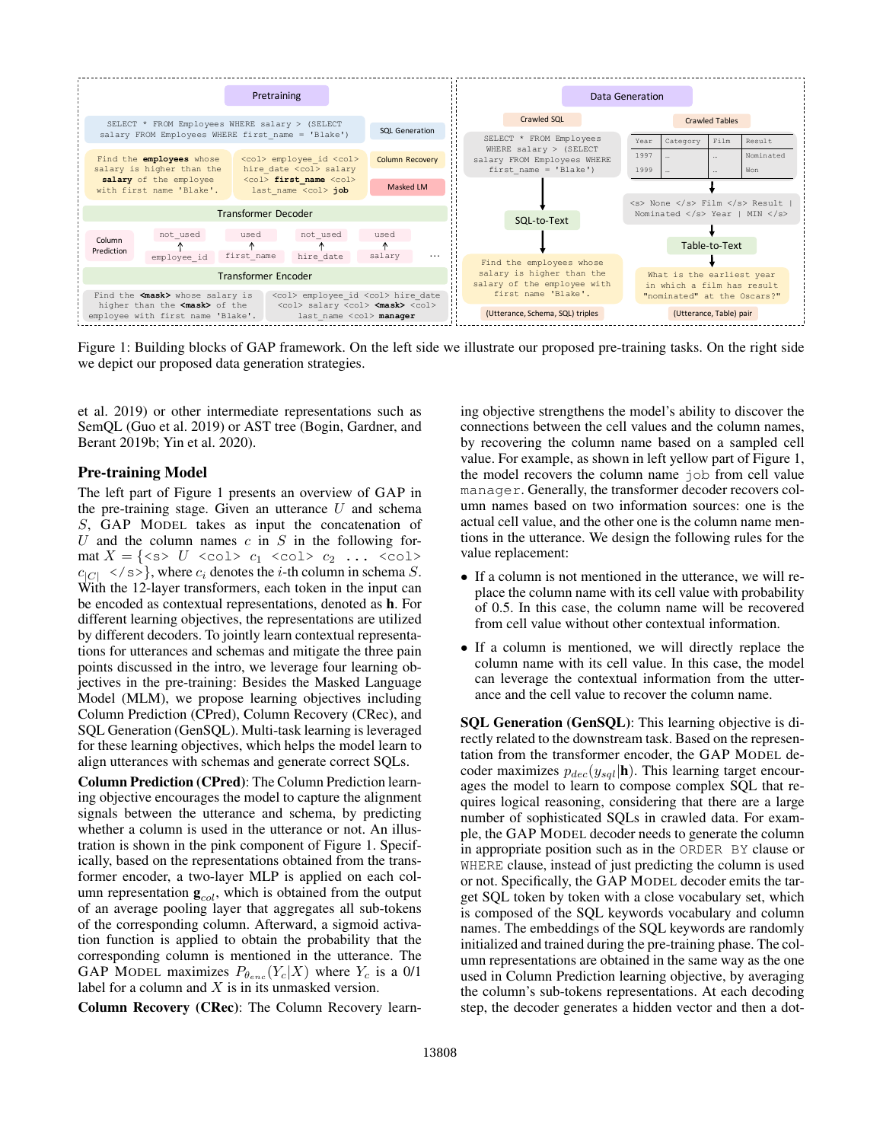

Figure 1: Building blocks of GAP framework. On the left side we illustrate our proposed pre-training tasks. On the right side we depict our proposed data generation strategies.

et al. 2019) or other intermediate representations such as SemQL (Guo et al. 2019) or AST tree (Bogin, Gardner, and Berant 2019b; Yin et al. 2020).

## Pre-training Model

The left part of Figure 1 presents an overview of GAP in the pre-training stage. Given an utterance  $U$  and schema S, GAP MODEL takes as input the concatenation of U and the column names  $c$  in  $S$  in the following format  $X = \{ \text{ss} \mid U \text{ } \text{ } < \text{col} \}$   $c_1$   $\text{ } < \text{col} \text{ } < c_2$  ...  $\text{ } < \text{col} \text{ } >$  $c_{|C|} \le |s>$ , where  $c_i$  denotes the *i*-th column in schema *S*. With the 12-layer transformers, each token in the input can be encoded as contextual representations, denoted as h. For different learning objectives, the representations are utilized by different decoders. To jointly learn contextual representations for utterances and schemas and mitigate the three pain points discussed in the intro, we leverage four learning objectives in the pre-training: Besides the Masked Language Model (MLM), we propose learning objectives including Column Prediction (CPred), Column Recovery (CRec), and SQL Generation (GenSQL). Multi-task learning is leveraged for these learning objectives, which helps the model learn to align utterances with schemas and generate correct SQLs.

Column Prediction (CPred): The Column Prediction learning objective encourages the model to capture the alignment signals between the utterance and schema, by predicting whether a column is used in the utterance or not. An illustration is shown in the pink component of Figure 1. Specifically, based on the representations obtained from the transformer encoder, a two-layer MLP is applied on each column representation  $\mathbf{g}_{col}$ , which is obtained from the output of an average pooling layer that aggregates all sub-tokens of the corresponding column. Afterward, a sigmoid activation function is applied to obtain the probability that the corresponding column is mentioned in the utterance. The GAP MODEL maximizes  $P_{\theta_{enc}}(Y_c|X)$  where  $Y_c$  is a 0/1 label for a column and  $X$  is in its unmasked version.

Column Recovery (CRec): The Column Recovery learn-

ing objective strengthens the model's ability to discover the connections between the cell values and the column names, by recovering the column name based on a sampled cell value. For example, as shown in left yellow part of Figure 1, the model recovers the column name job from cell value manager. Generally, the transformer decoder recovers column names based on two information sources: one is the actual cell value, and the other one is the column name mentions in the utterance. We design the following rules for the value replacement:

- If a column is not mentioned in the utterance, we will replace the column name with its cell value with probability of 0.5. In this case, the column name will be recovered from cell value without other contextual information.
- If a column is mentioned, we will directly replace the column name with its cell value. In this case, the model can leverage the contextual information from the utterance and the cell value to recover the column name.

SQL Generation (GenSQL): This learning objective is directly related to the downstream task. Based on the representation from the transformer encoder, the GAP MODEL decoder maximizes  $p_{dec}(y_{sql}|\mathbf{h})$ . This learning target encourages the model to learn to compose complex SQL that requires logical reasoning, considering that there are a large number of sophisticated SQLs in crawled data. For example, the GAP MODEL decoder needs to generate the column in appropriate position such as in the ORDER BY clause or WHERE clause, instead of just predicting the column is used or not. Specifically, the GAP MODEL decoder emits the target SQL token by token with a close vocabulary set, which is composed of the SQL keywords vocabulary and column names. The embeddings of the SQL keywords are randomly initialized and trained during the pre-training phase. The column representations are obtained in the same way as the one used in Column Prediction learning objective, by averaging the column's sub-tokens representations. At each decoding step, the decoder generates a hidden vector and then a dot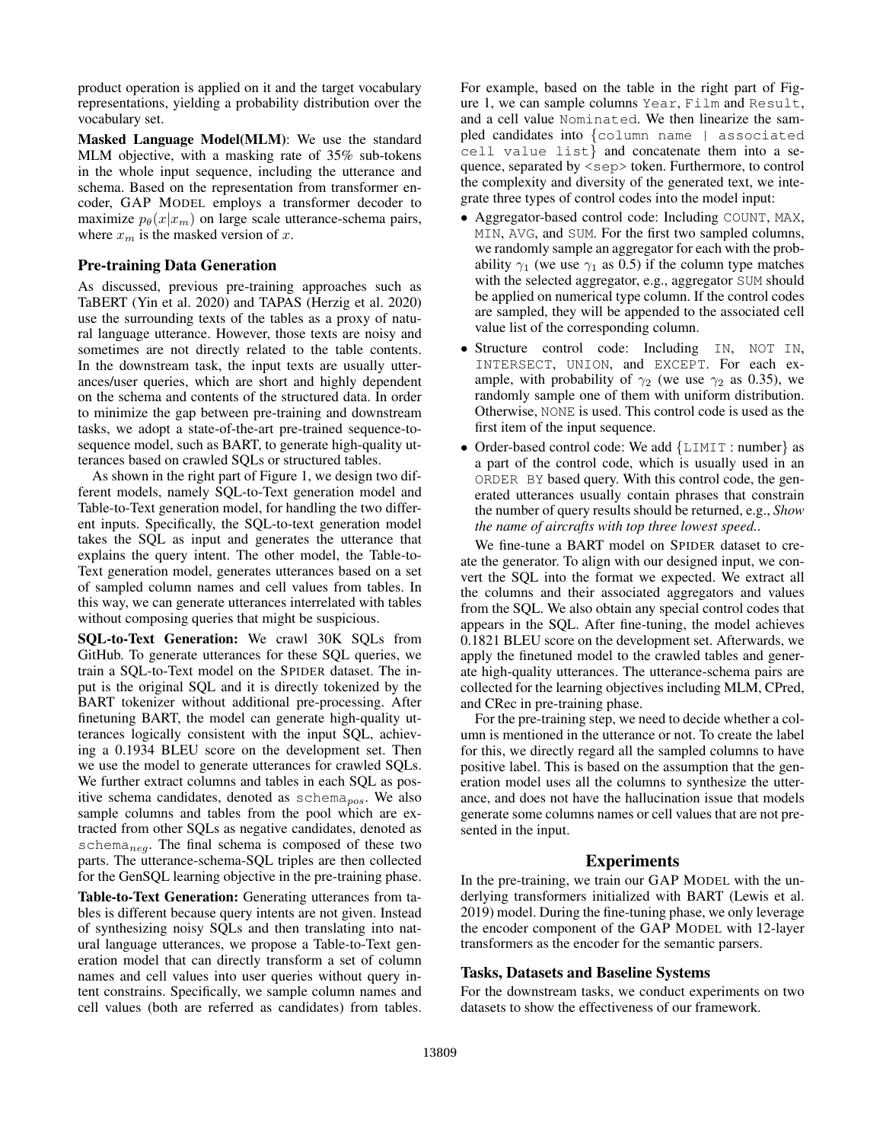product operation is applied on it and the target vocabulary representations, yielding a probability distribution over the vocabulary set.

Masked Language Model(MLM): We use the standard MLM objective, with a masking rate of 35% sub-tokens in the whole input sequence, including the utterance and schema. Based on the representation from transformer encoder, GAP MODEL employs a transformer decoder to maximize  $p_{\theta}(x|x_m)$  on large scale utterance-schema pairs, where  $x_m$  is the masked version of x.

#### Pre-training Data Generation

As discussed, previous pre-training approaches such as TaBERT (Yin et al. 2020) and TAPAS (Herzig et al. 2020) use the surrounding texts of the tables as a proxy of natural language utterance. However, those texts are noisy and sometimes are not directly related to the table contents. In the downstream task, the input texts are usually utterances/user queries, which are short and highly dependent on the schema and contents of the structured data. In order to minimize the gap between pre-training and downstream tasks, we adopt a state-of-the-art pre-trained sequence-tosequence model, such as BART, to generate high-quality utterances based on crawled SQLs or structured tables.

As shown in the right part of Figure 1, we design two different models, namely SQL-to-Text generation model and Table-to-Text generation model, for handling the two different inputs. Specifically, the SQL-to-text generation model takes the SQL as input and generates the utterance that explains the query intent. The other model, the Table-to-Text generation model, generates utterances based on a set of sampled column names and cell values from tables. In this way, we can generate utterances interrelated with tables without composing queries that might be suspicious.

SQL-to-Text Generation: We crawl 30K SQLs from GitHub. To generate utterances for these SQL queries, we train a SQL-to-Text model on the SPIDER dataset. The input is the original SQL and it is directly tokenized by the BART tokenizer without additional pre-processing. After finetuning BART, the model can generate high-quality utterances logically consistent with the input SQL, achieving a 0.1934 BLEU score on the development set. Then we use the model to generate utterances for crawled SQLs. We further extract columns and tables in each SQL as positive schema candidates, denoted as  $schema<sub>pos</sub>$ . We also sample columns and tables from the pool which are extracted from other SQLs as negative candidates, denoted as schema<sub>neg</sub>. The final schema is composed of these two parts. The utterance-schema-SQL triples are then collected for the GenSQL learning objective in the pre-training phase.

Table-to-Text Generation: Generating utterances from tables is different because query intents are not given. Instead of synthesizing noisy SQLs and then translating into natural language utterances, we propose a Table-to-Text generation model that can directly transform a set of column names and cell values into user queries without query intent constrains. Specifically, we sample column names and cell values (both are referred as candidates) from tables.

For example, based on the table in the right part of Figure 1, we can sample columns Year, Film and Result, and a cell value Nominated. We then linearize the sampled candidates into {column name | associated cell value list} and concatenate them into a sequence, separated by <sep> token. Furthermore, to control the complexity and diversity of the generated text, we integrate three types of control codes into the model input:

- Aggregator-based control code: Including COUNT, MAX, MIN, AVG, and SUM. For the first two sampled columns, we randomly sample an aggregator for each with the probability  $\gamma_1$  (we use  $\gamma_1$  as 0.5) if the column type matches with the selected aggregator, e.g., aggregator SUM should be applied on numerical type column. If the control codes are sampled, they will be appended to the associated cell value list of the corresponding column.
- Structure control code: Including IN, NOT IN, INTERSECT, UNION, and EXCEPT. For each example, with probability of  $\gamma_2$  (we use  $\gamma_2$  as 0.35), we randomly sample one of them with uniform distribution. Otherwise, NONE is used. This control code is used as the first item of the input sequence.
- Order-based control code: We add {LIMIT : number} as a part of the control code, which is usually used in an ORDER BY based query. With this control code, the generated utterances usually contain phrases that constrain the number of query results should be returned, e.g., *Show the name of aircrafts with top three lowest speed.*.

We fine-tune a BART model on SPIDER dataset to create the generator. To align with our designed input, we convert the SQL into the format we expected. We extract all the columns and their associated aggregators and values from the SQL. We also obtain any special control codes that appears in the SQL. After fine-tuning, the model achieves 0.1821 BLEU score on the development set. Afterwards, we apply the finetuned model to the crawled tables and generate high-quality utterances. The utterance-schema pairs are collected for the learning objectives including MLM, CPred, and CRec in pre-training phase.

For the pre-training step, we need to decide whether a column is mentioned in the utterance or not. To create the label for this, we directly regard all the sampled columns to have positive label. This is based on the assumption that the generation model uses all the columns to synthesize the utterance, and does not have the hallucination issue that models generate some columns names or cell values that are not presented in the input.

## Experiments

In the pre-training, we train our GAP MODEL with the underlying transformers initialized with BART (Lewis et al. 2019) model. During the fine-tuning phase, we only leverage the encoder component of the GAP MODEL with 12-layer transformers as the encoder for the semantic parsers.

#### Tasks, Datasets and Baseline Systems

For the downstream tasks, we conduct experiments on two datasets to show the effectiveness of our framework.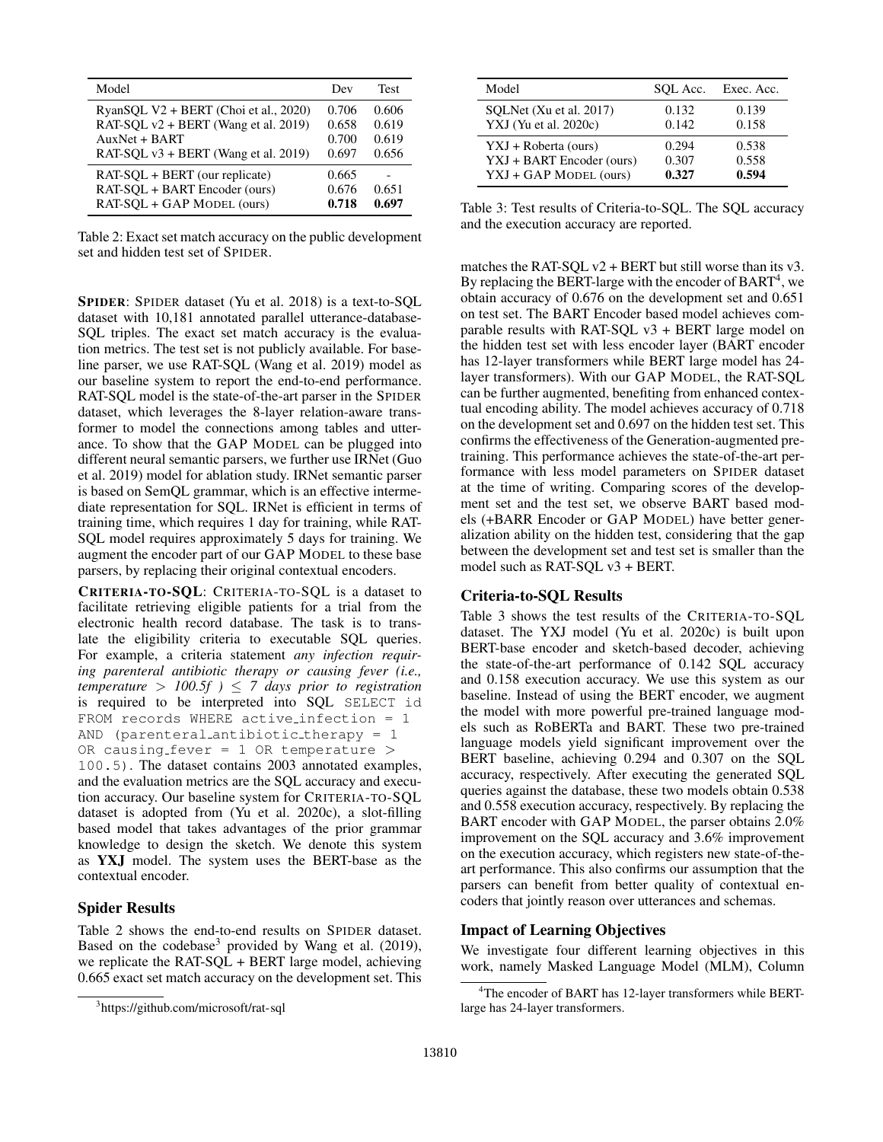| Model                                                                                                                                      | Dev                              | Test                             |
|--------------------------------------------------------------------------------------------------------------------------------------------|----------------------------------|----------------------------------|
| RyanSOL V2 + BERT (Choi et al., 2020)<br>RAT-SOL v2 + BERT (Wang et al. 2019)<br>$AuxNet + BART$<br>RAT-SOL $v3$ + BERT (Wang et al. 2019) | 0.706<br>0.658<br>0.700<br>0.697 | 0.606<br>0.619<br>0.619<br>0.656 |
| RAT-SQL + BERT (our replicate)<br>RAT-SOL + BART Encoder (ours)<br>RAT-SOL + GAP MODEL (ours)                                              | 0.665<br>0.676<br>0.718          | 0.651<br>0.697                   |

Table 2: Exact set match accuracy on the public development set and hidden test set of SPIDER.

SPIDER: SPIDER dataset (Yu et al. 2018) is a text-to-SQL dataset with 10,181 annotated parallel utterance-database-SQL triples. The exact set match accuracy is the evaluation metrics. The test set is not publicly available. For baseline parser, we use RAT-SQL (Wang et al. 2019) model as our baseline system to report the end-to-end performance. RAT-SQL model is the state-of-the-art parser in the SPIDER dataset, which leverages the 8-layer relation-aware transformer to model the connections among tables and utterance. To show that the GAP MODEL can be plugged into different neural semantic parsers, we further use IRNet (Guo et al. 2019) model for ablation study. IRNet semantic parser is based on SemQL grammar, which is an effective intermediate representation for SQL. IRNet is efficient in terms of training time, which requires 1 day for training, while RAT-SQL model requires approximately 5 days for training. We augment the encoder part of our GAP MODEL to these base parsers, by replacing their original contextual encoders.

CRITERIA-TO-SQL: CRITERIA-TO-SQL is a dataset to facilitate retrieving eligible patients for a trial from the electronic health record database. The task is to translate the eligibility criteria to executable SQL queries. For example, a criteria statement *any infection requiring parenteral antibiotic therapy or causing fever (i.e., temperature* >  $100.5f$   $\geq$  7 days prior to registration is required to be interpreted into SQL SELECT id FROM records WHERE active infection = 1 AND (parenteral antibiotic therapy = 1 OR causing fever = 1 OR temperature  $>$ 100.5). The dataset contains 2003 annotated examples, and the evaluation metrics are the SQL accuracy and execution accuracy. Our baseline system for CRITERIA-TO-SQL dataset is adopted from (Yu et al. 2020c), a slot-filling based model that takes advantages of the prior grammar knowledge to design the sketch. We denote this system as YXJ model. The system uses the BERT-base as the contextual encoder.

## Spider Results

Table 2 shows the end-to-end results on SPIDER dataset. Based on the codebase<sup>3</sup> provided by Wang et al.  $(2019)$ , we replicate the RAT-SQL + BERT large model, achieving 0.665 exact set match accuracy on the development set. This

| Model                     | SOL Acc. | Exec. Acc. |
|---------------------------|----------|------------|
| SQLNet (Xu et al. 2017)   | 0.132    | 0.139      |
| YXJ (Yu et al. 2020c)     | 0.142    | 0.158      |
| YXJ + Roberta (ours)      | 0.294    | 0.538      |
| YXJ + BART Encoder (ours) | 0.307    | 0.558      |
| YXJ + GAP MODEL (ours)    | 0.327    | 0.594      |

Table 3: Test results of Criteria-to-SQL. The SQL accuracy and the execution accuracy are reported.

matches the RAT-SOL  $v2 + BERT$  but still worse than its  $v3$ . By replacing the BERT-large with the encoder of  $BART<sup>4</sup>$ , we obtain accuracy of 0.676 on the development set and 0.651 on test set. The BART Encoder based model achieves comparable results with RAT-SQL  $v3$  + BERT large model on the hidden test set with less encoder layer (BART encoder has 12-layer transformers while BERT large model has 24 layer transformers). With our GAP MODEL, the RAT-SQL can be further augmented, benefiting from enhanced contextual encoding ability. The model achieves accuracy of 0.718 on the development set and 0.697 on the hidden test set. This confirms the effectiveness of the Generation-augmented pretraining. This performance achieves the state-of-the-art performance with less model parameters on SPIDER dataset at the time of writing. Comparing scores of the development set and the test set, we observe BART based models (+BARR Encoder or GAP MODEL) have better generalization ability on the hidden test, considering that the gap between the development set and test set is smaller than the model such as RAT-SQL v3 + BERT.

#### Criteria-to-SQL Results

Table 3 shows the test results of the CRITERIA-TO-SQL dataset. The YXJ model (Yu et al. 2020c) is built upon BERT-base encoder and sketch-based decoder, achieving the state-of-the-art performance of 0.142 SQL accuracy and 0.158 execution accuracy. We use this system as our baseline. Instead of using the BERT encoder, we augment the model with more powerful pre-trained language models such as RoBERTa and BART. These two pre-trained language models yield significant improvement over the BERT baseline, achieving 0.294 and 0.307 on the SQL accuracy, respectively. After executing the generated SQL queries against the database, these two models obtain 0.538 and 0.558 execution accuracy, respectively. By replacing the BART encoder with GAP MODEL, the parser obtains 2.0% improvement on the SQL accuracy and 3.6% improvement on the execution accuracy, which registers new state-of-theart performance. This also confirms our assumption that the parsers can benefit from better quality of contextual encoders that jointly reason over utterances and schemas.

## Impact of Learning Objectives

We investigate four different learning objectives in this work, namely Masked Language Model (MLM), Column

<sup>3</sup> https://github.com/microsoft/rat-sql

<sup>&</sup>lt;sup>4</sup>The encoder of BART has 12-layer transformers while BERTlarge has 24-layer transformers.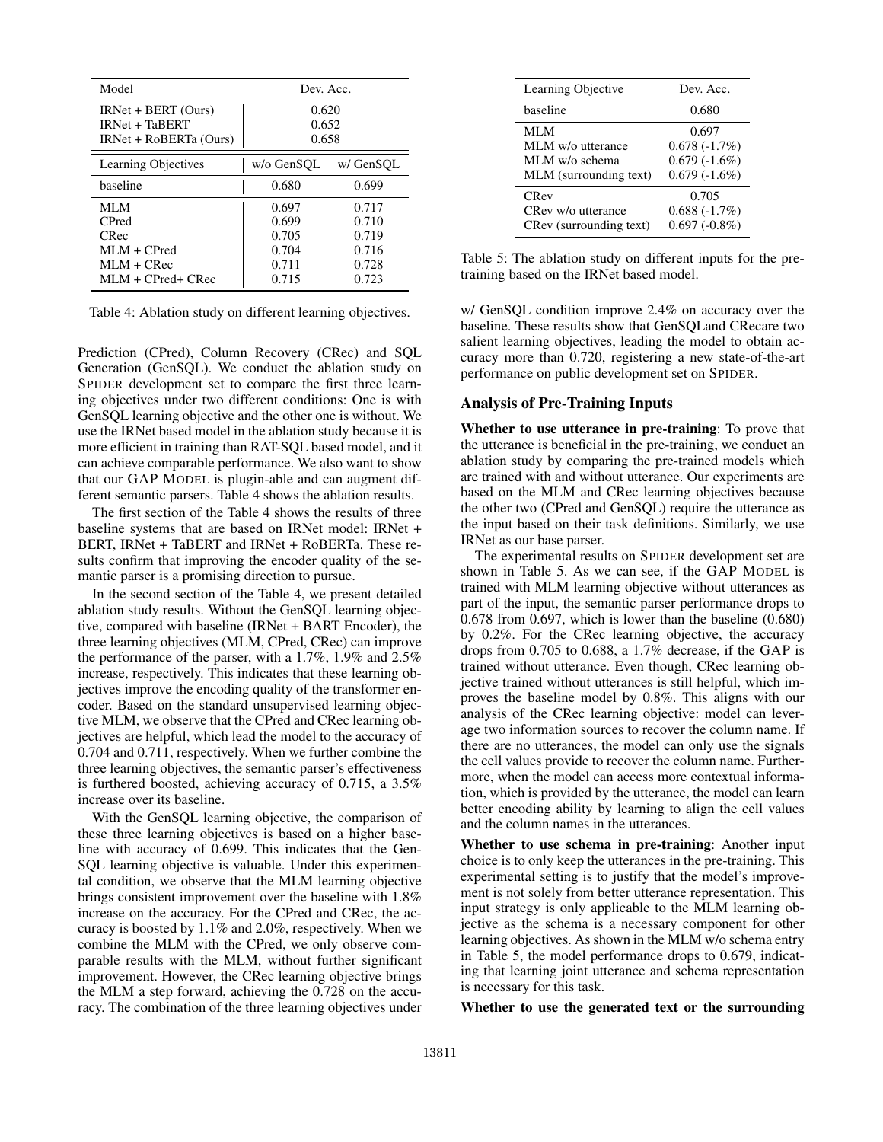| Model                                                                                 | Dev. Acc.                                          |                                                    |
|---------------------------------------------------------------------------------------|----------------------------------------------------|----------------------------------------------------|
| $IRNet + BERT (Ours)$<br><b>IRNet + TaBERT</b><br>IRNet + RoBERTa (Ours)              | 0.620<br>0.652<br>0.658                            |                                                    |
| <b>Learning Objectives</b>                                                            | w/o GenSOL                                         | w/ GenSOL                                          |
| haseline                                                                              | 0.680                                              | 0.699                                              |
| MLM<br><b>C</b> Pred<br>CRec<br>$MLM + CPred$<br>$MLM + CRec$<br>$MLM + CPred + CRec$ | 0.697<br>0.699<br>0.705<br>0.704<br>0.711<br>0.715 | 0.717<br>0.710<br>0.719<br>0.716<br>0.728<br>0.723 |

Table 4: Ablation study on different learning objectives.

Prediction (CPred), Column Recovery (CRec) and SQL Generation (GenSQL). We conduct the ablation study on SPIDER development set to compare the first three learning objectives under two different conditions: One is with GenSQL learning objective and the other one is without. We use the IRNet based model in the ablation study because it is more efficient in training than RAT-SQL based model, and it can achieve comparable performance. We also want to show that our GAP MODEL is plugin-able and can augment different semantic parsers. Table 4 shows the ablation results.

The first section of the Table 4 shows the results of three baseline systems that are based on IRNet model: IRNet + BERT, IRNet + TaBERT and IRNet + RoBERTa. These results confirm that improving the encoder quality of the semantic parser is a promising direction to pursue.

In the second section of the Table 4, we present detailed ablation study results. Without the GenSQL learning objective, compared with baseline (IRNet + BART Encoder), the three learning objectives (MLM, CPred, CRec) can improve the performance of the parser, with a 1.7%, 1.9% and 2.5% increase, respectively. This indicates that these learning objectives improve the encoding quality of the transformer encoder. Based on the standard unsupervised learning objective MLM, we observe that the CPred and CRec learning objectives are helpful, which lead the model to the accuracy of 0.704 and 0.711, respectively. When we further combine the three learning objectives, the semantic parser's effectiveness is furthered boosted, achieving accuracy of 0.715, a 3.5% increase over its baseline.

With the GenSQL learning objective, the comparison of these three learning objectives is based on a higher baseline with accuracy of 0.699. This indicates that the Gen-SQL learning objective is valuable. Under this experimental condition, we observe that the MLM learning objective brings consistent improvement over the baseline with 1.8% increase on the accuracy. For the CPred and CRec, the accuracy is boosted by 1.1% and 2.0%, respectively. When we combine the MLM with the CPred, we only observe comparable results with the MLM, without further significant improvement. However, the CRec learning objective brings the MLM a step forward, achieving the 0.728 on the accuracy. The combination of the three learning objectives under

| Learning Objective      | Dev. Acc.       |
|-------------------------|-----------------|
| baseline                | 0.680           |
| <b>MLM</b>              | 0.697           |
| MLM w/o utterance       | $0.678(-1.7%)$  |
| MLM w/o schema          | $0.679(-1.6%)$  |
| MLM (surrounding text)  | $0.679(-1.6%)$  |
| <b>CRev</b>             | 0.705           |
| CRev w/o utterance      | $0.688(-1.7%)$  |
| CRev (surrounding text) | $0.697(-0.8\%)$ |

Table 5: The ablation study on different inputs for the pretraining based on the IRNet based model.

w/ GenSQL condition improve 2.4% on accuracy over the baseline. These results show that GenSQLand CRecare two salient learning objectives, leading the model to obtain accuracy more than 0.720, registering a new state-of-the-art performance on public development set on SPIDER.

#### Analysis of Pre-Training Inputs

Whether to use utterance in pre-training: To prove that the utterance is beneficial in the pre-training, we conduct an ablation study by comparing the pre-trained models which are trained with and without utterance. Our experiments are based on the MLM and CRec learning objectives because the other two (CPred and GenSQL) require the utterance as the input based on their task definitions. Similarly, we use IRNet as our base parser.

The experimental results on SPIDER development set are shown in Table 5. As we can see, if the GAP MODEL is trained with MLM learning objective without utterances as part of the input, the semantic parser performance drops to 0.678 from 0.697, which is lower than the baseline (0.680) by 0.2%. For the CRec learning objective, the accuracy drops from 0.705 to 0.688, a 1.7% decrease, if the GAP is trained without utterance. Even though, CRec learning objective trained without utterances is still helpful, which improves the baseline model by 0.8%. This aligns with our analysis of the CRec learning objective: model can leverage two information sources to recover the column name. If there are no utterances, the model can only use the signals the cell values provide to recover the column name. Furthermore, when the model can access more contextual information, which is provided by the utterance, the model can learn better encoding ability by learning to align the cell values and the column names in the utterances.

Whether to use schema in pre-training: Another input choice is to only keep the utterances in the pre-training. This experimental setting is to justify that the model's improvement is not solely from better utterance representation. This input strategy is only applicable to the MLM learning objective as the schema is a necessary component for other learning objectives. As shown in the MLM w/o schema entry in Table 5, the model performance drops to 0.679, indicating that learning joint utterance and schema representation is necessary for this task.

Whether to use the generated text or the surrounding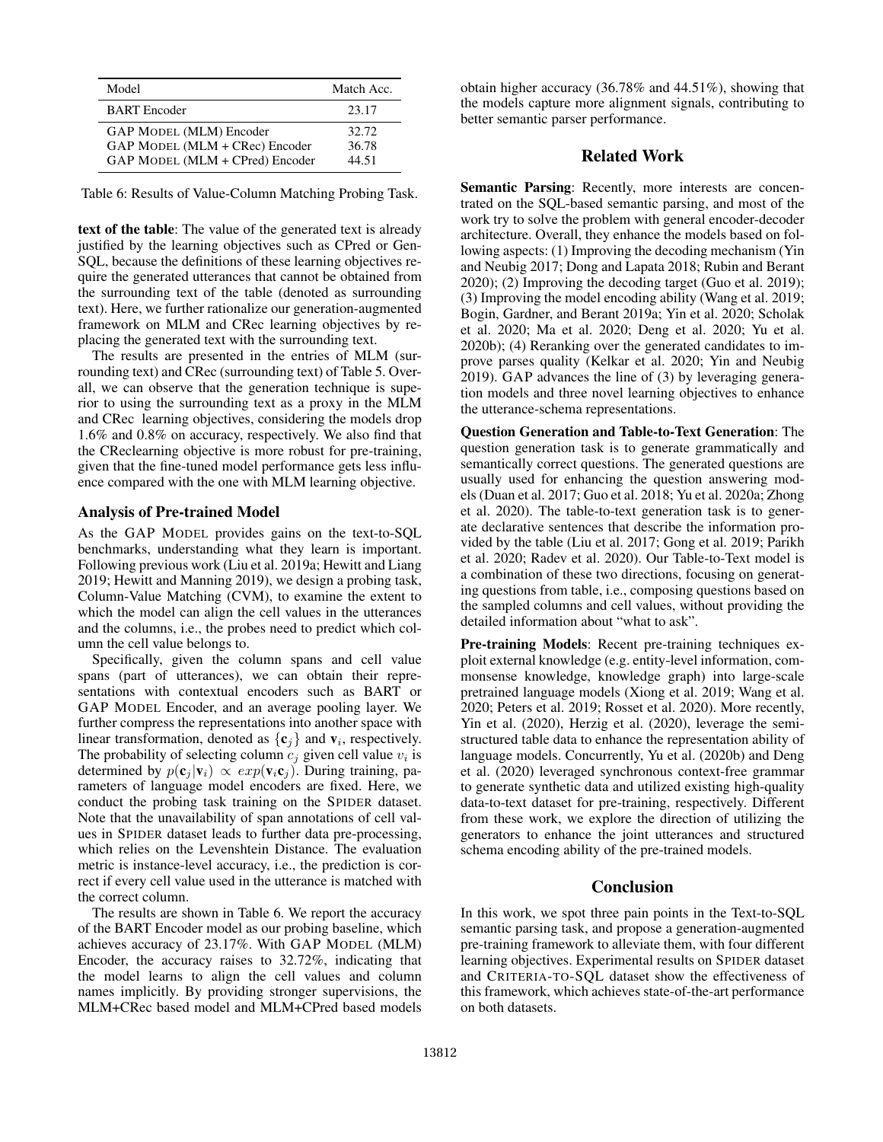| Model                                                                                               | Match Acc.              |
|-----------------------------------------------------------------------------------------------------|-------------------------|
| <b>BART</b> Encoder                                                                                 | 23.17                   |
| <b>GAP MODEL (MLM) Encoder</b><br>GAP MODEL (MLM + CRec) Encoder<br>GAP MODEL (MLM + CPred) Encoder | 32.72<br>36.78<br>44.51 |

Table 6: Results of Value-Column Matching Probing Task.

text of the table: The value of the generated text is already justified by the learning objectives such as CPred or Gen-SQL, because the definitions of these learning objectives require the generated utterances that cannot be obtained from the surrounding text of the table (denoted as surrounding text). Here, we further rationalize our generation-augmented framework on MLM and CRec learning objectives by replacing the generated text with the surrounding text.

The results are presented in the entries of MLM (surrounding text) and CRec (surrounding text) of Table 5. Overall, we can observe that the generation technique is superior to using the surrounding text as a proxy in the MLM and CRec learning objectives, considering the models drop 1.6% and 0.8% on accuracy, respectively. We also find that the CReclearning objective is more robust for pre-training, given that the fine-tuned model performance gets less influence compared with the one with MLM learning objective.

#### Analysis of Pre-trained Model

As the GAP MODEL provides gains on the text-to-SQL benchmarks, understanding what they learn is important. Following previous work (Liu et al. 2019a; Hewitt and Liang 2019; Hewitt and Manning 2019), we design a probing task, Column-Value Matching (CVM), to examine the extent to which the model can align the cell values in the utterances and the columns, i.e., the probes need to predict which column the cell value belongs to.

Specifically, given the column spans and cell value spans (part of utterances), we can obtain their representations with contextual encoders such as BART or GAP MODEL Encoder, and an average pooling layer. We further compress the representations into another space with linear transformation, denoted as  $\{c_j\}$  and  $v_i$ , respectively. The probability of selecting column  $c_j$  given cell value  $v_i$  is determined by  $p(c_i | v_i) \propto exp(v_i c_j)$ . During training, parameters of language model encoders are fixed. Here, we conduct the probing task training on the SPIDER dataset. Note that the unavailability of span annotations of cell values in SPIDER dataset leads to further data pre-processing, which relies on the Levenshtein Distance. The evaluation metric is instance-level accuracy, i.e., the prediction is correct if every cell value used in the utterance is matched with the correct column.

The results are shown in Table 6. We report the accuracy of the BART Encoder model as our probing baseline, which achieves accuracy of 23.17%. With GAP MODEL (MLM) Encoder, the accuracy raises to 32.72%, indicating that the model learns to align the cell values and column names implicitly. By providing stronger supervisions, the MLM+CRec based model and MLM+CPred based models

obtain higher accuracy (36.78% and 44.51%), showing that the models capture more alignment signals, contributing to better semantic parser performance.

#### Related Work

Semantic Parsing: Recently, more interests are concentrated on the SQL-based semantic parsing, and most of the work try to solve the problem with general encoder-decoder architecture. Overall, they enhance the models based on following aspects: (1) Improving the decoding mechanism (Yin and Neubig 2017; Dong and Lapata 2018; Rubin and Berant 2020); (2) Improving the decoding target (Guo et al. 2019); (3) Improving the model encoding ability (Wang et al. 2019; Bogin, Gardner, and Berant 2019a; Yin et al. 2020; Scholak et al. 2020; Ma et al. 2020; Deng et al. 2020; Yu et al. 2020b); (4) Reranking over the generated candidates to improve parses quality (Kelkar et al. 2020; Yin and Neubig 2019). GAP advances the line of (3) by leveraging generation models and three novel learning objectives to enhance the utterance-schema representations.

Question Generation and Table-to-Text Generation: The question generation task is to generate grammatically and semantically correct questions. The generated questions are usually used for enhancing the question answering models (Duan et al. 2017; Guo et al. 2018; Yu et al. 2020a; Zhong et al. 2020). The table-to-text generation task is to generate declarative sentences that describe the information provided by the table (Liu et al. 2017; Gong et al. 2019; Parikh et al. 2020; Radev et al. 2020). Our Table-to-Text model is a combination of these two directions, focusing on generating questions from table, i.e., composing questions based on the sampled columns and cell values, without providing the detailed information about "what to ask".

Pre-training Models: Recent pre-training techniques exploit external knowledge (e.g. entity-level information, commonsense knowledge, knowledge graph) into large-scale pretrained language models (Xiong et al. 2019; Wang et al. 2020; Peters et al. 2019; Rosset et al. 2020). More recently, Yin et al. (2020), Herzig et al. (2020), leverage the semistructured table data to enhance the representation ability of language models. Concurrently, Yu et al. (2020b) and Deng et al. (2020) leveraged synchronous context-free grammar to generate synthetic data and utilized existing high-quality data-to-text dataset for pre-training, respectively. Different from these work, we explore the direction of utilizing the generators to enhance the joint utterances and structured schema encoding ability of the pre-trained models.

#### Conclusion

In this work, we spot three pain points in the Text-to-SQL semantic parsing task, and propose a generation-augmented pre-training framework to alleviate them, with four different learning objectives. Experimental results on SPIDER dataset and CRITERIA-TO-SQL dataset show the effectiveness of this framework, which achieves state-of-the-art performance on both datasets.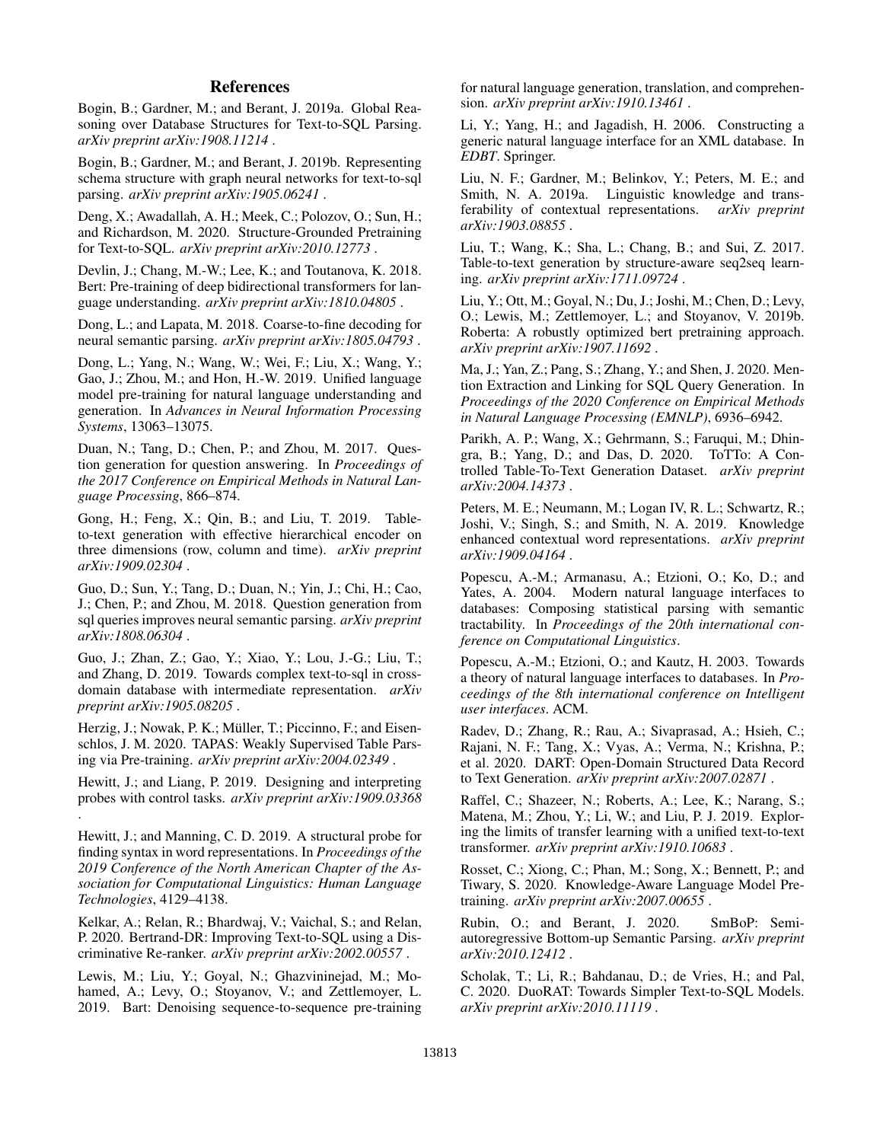## References

Bogin, B.; Gardner, M.; and Berant, J. 2019a. Global Reasoning over Database Structures for Text-to-SQL Parsing. *arXiv preprint arXiv:1908.11214* .

Bogin, B.; Gardner, M.; and Berant, J. 2019b. Representing schema structure with graph neural networks for text-to-sql parsing. *arXiv preprint arXiv:1905.06241* .

Deng, X.; Awadallah, A. H.; Meek, C.; Polozov, O.; Sun, H.; and Richardson, M. 2020. Structure-Grounded Pretraining for Text-to-SQL. *arXiv preprint arXiv:2010.12773* .

Devlin, J.; Chang, M.-W.; Lee, K.; and Toutanova, K. 2018. Bert: Pre-training of deep bidirectional transformers for language understanding. *arXiv preprint arXiv:1810.04805* .

Dong, L.; and Lapata, M. 2018. Coarse-to-fine decoding for neural semantic parsing. *arXiv preprint arXiv:1805.04793* .

Dong, L.; Yang, N.; Wang, W.; Wei, F.; Liu, X.; Wang, Y.; Gao, J.; Zhou, M.; and Hon, H.-W. 2019. Unified language model pre-training for natural language understanding and generation. In *Advances in Neural Information Processing Systems*, 13063–13075.

Duan, N.; Tang, D.; Chen, P.; and Zhou, M. 2017. Question generation for question answering. In *Proceedings of the 2017 Conference on Empirical Methods in Natural Language Processing*, 866–874.

Gong, H.; Feng, X.; Qin, B.; and Liu, T. 2019. Tableto-text generation with effective hierarchical encoder on three dimensions (row, column and time). *arXiv preprint arXiv:1909.02304* .

Guo, D.; Sun, Y.; Tang, D.; Duan, N.; Yin, J.; Chi, H.; Cao, J.; Chen, P.; and Zhou, M. 2018. Question generation from sql queries improves neural semantic parsing. *arXiv preprint arXiv:1808.06304* .

Guo, J.; Zhan, Z.; Gao, Y.; Xiao, Y.; Lou, J.-G.; Liu, T.; and Zhang, D. 2019. Towards complex text-to-sql in crossdomain database with intermediate representation. *arXiv preprint arXiv:1905.08205* .

Herzig, J.; Nowak, P. K.; Müller, T.; Piccinno, F.; and Eisenschlos, J. M. 2020. TAPAS: Weakly Supervised Table Parsing via Pre-training. *arXiv preprint arXiv:2004.02349* .

Hewitt, J.; and Liang, P. 2019. Designing and interpreting probes with control tasks. *arXiv preprint arXiv:1909.03368* .

Hewitt, J.; and Manning, C. D. 2019. A structural probe for finding syntax in word representations. In *Proceedings of the 2019 Conference of the North American Chapter of the Association for Computational Linguistics: Human Language Technologies*, 4129–4138.

Kelkar, A.; Relan, R.; Bhardwaj, V.; Vaichal, S.; and Relan, P. 2020. Bertrand-DR: Improving Text-to-SQL using a Discriminative Re-ranker. *arXiv preprint arXiv:2002.00557* .

Lewis, M.; Liu, Y.; Goyal, N.; Ghazvininejad, M.; Mohamed, A.; Levy, O.; Stoyanov, V.; and Zettlemoyer, L. 2019. Bart: Denoising sequence-to-sequence pre-training for natural language generation, translation, and comprehension. *arXiv preprint arXiv:1910.13461* .

Li, Y.; Yang, H.; and Jagadish, H. 2006. Constructing a generic natural language interface for an XML database. In *EDBT*. Springer.

Liu, N. F.; Gardner, M.; Belinkov, Y.; Peters, M. E.; and Smith, N. A. 2019a. Linguistic knowledge and transferability of contextual representations. *arXiv preprint arXiv:1903.08855* .

Liu, T.; Wang, K.; Sha, L.; Chang, B.; and Sui, Z. 2017. Table-to-text generation by structure-aware seq2seq learning. *arXiv preprint arXiv:1711.09724* .

Liu, Y.; Ott, M.; Goyal, N.; Du, J.; Joshi, M.; Chen, D.; Levy, O.; Lewis, M.; Zettlemoyer, L.; and Stoyanov, V. 2019b. Roberta: A robustly optimized bert pretraining approach. *arXiv preprint arXiv:1907.11692* .

Ma, J.; Yan, Z.; Pang, S.; Zhang, Y.; and Shen, J. 2020. Mention Extraction and Linking for SQL Query Generation. In *Proceedings of the 2020 Conference on Empirical Methods in Natural Language Processing (EMNLP)*, 6936–6942.

Parikh, A. P.; Wang, X.; Gehrmann, S.; Faruqui, M.; Dhingra, B.; Yang, D.; and Das, D. 2020. ToTTo: A Controlled Table-To-Text Generation Dataset. *arXiv preprint arXiv:2004.14373* .

Peters, M. E.; Neumann, M.; Logan IV, R. L.; Schwartz, R.; Joshi, V.; Singh, S.; and Smith, N. A. 2019. Knowledge enhanced contextual word representations. *arXiv preprint arXiv:1909.04164* .

Popescu, A.-M.; Armanasu, A.; Etzioni, O.; Ko, D.; and Yates, A. 2004. Modern natural language interfaces to databases: Composing statistical parsing with semantic tractability. In *Proceedings of the 20th international conference on Computational Linguistics*.

Popescu, A.-M.; Etzioni, O.; and Kautz, H. 2003. Towards a theory of natural language interfaces to databases. In *Proceedings of the 8th international conference on Intelligent user interfaces*. ACM.

Radev, D.; Zhang, R.; Rau, A.; Sivaprasad, A.; Hsieh, C.; Rajani, N. F.; Tang, X.; Vyas, A.; Verma, N.; Krishna, P.; et al. 2020. DART: Open-Domain Structured Data Record to Text Generation. *arXiv preprint arXiv:2007.02871* .

Raffel, C.; Shazeer, N.; Roberts, A.; Lee, K.; Narang, S.; Matena, M.; Zhou, Y.; Li, W.; and Liu, P. J. 2019. Exploring the limits of transfer learning with a unified text-to-text transformer. *arXiv preprint arXiv:1910.10683* .

Rosset, C.; Xiong, C.; Phan, M.; Song, X.; Bennett, P.; and Tiwary, S. 2020. Knowledge-Aware Language Model Pretraining. *arXiv preprint arXiv:2007.00655* .

Rubin, O.; and Berant, J. 2020. SmBoP: Semiautoregressive Bottom-up Semantic Parsing. *arXiv preprint arXiv:2010.12412* .

Scholak, T.; Li, R.; Bahdanau, D.; de Vries, H.; and Pal, C. 2020. DuoRAT: Towards Simpler Text-to-SQL Models. *arXiv preprint arXiv:2010.11119* .